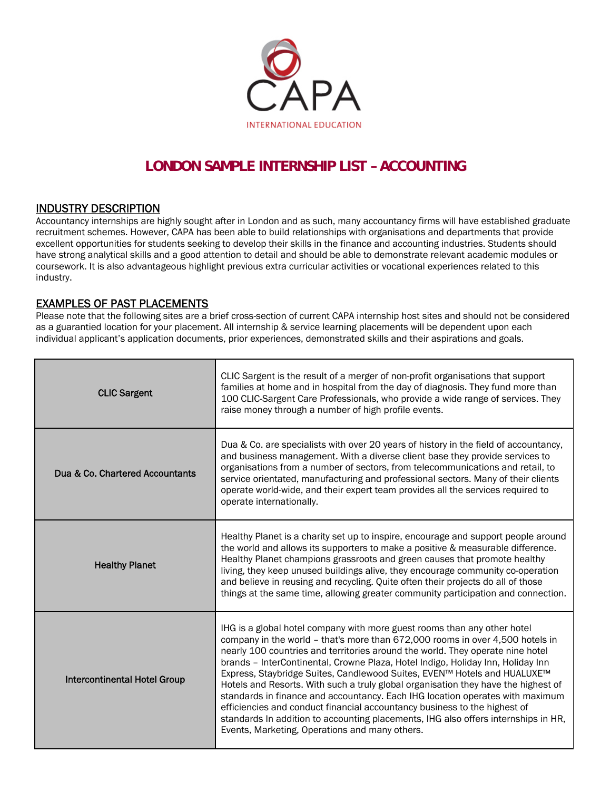

# **LONDON SAMPLE INTERNSHIP LIST – ACCOUNTING**

## INDUSTRY DESCRIPTION

Accountancy internships are highly sought after in London and as such, many accountancy firms will have established graduate recruitment schemes. However, CAPA has been able to build relationships with organisations and departments that provide excellent opportunities for students seeking to develop their skills in the finance and accounting industries. Students should have strong analytical skills and a good attention to detail and should be able to demonstrate relevant academic modules or coursework. It is also advantageous highlight previous extra curricular activities or vocational experiences related to this industry.

**EXAMPLES OF PAST PLACEMENTS**<br>Please note that the following sites are a brief cross-section of current CAPA internship host sites and should not be considered as a guarantied location for your placement. All internship & service learning placements will be dependent upon each individual applicant's application documents, prior experiences, demonstrated skills and their aspirations and goals.

| <b>CLIC Sargent</b>                 | CLIC Sargent is the result of a merger of non-profit organisations that support<br>families at home and in hospital from the day of diagnosis. They fund more than<br>100 CLIC-Sargent Care Professionals, who provide a wide range of services. They<br>raise money through a number of high profile events.                                                                                                                                                                                                                                                                                                                                                                                                                                                                                          |
|-------------------------------------|--------------------------------------------------------------------------------------------------------------------------------------------------------------------------------------------------------------------------------------------------------------------------------------------------------------------------------------------------------------------------------------------------------------------------------------------------------------------------------------------------------------------------------------------------------------------------------------------------------------------------------------------------------------------------------------------------------------------------------------------------------------------------------------------------------|
| Dua & Co. Chartered Accountants     | Dua & Co. are specialists with over 20 years of history in the field of accountancy,<br>and business management. With a diverse client base they provide services to<br>organisations from a number of sectors, from telecommunications and retail, to<br>service orientated, manufacturing and professional sectors. Many of their clients<br>operate world-wide, and their expert team provides all the services required to<br>operate internationally.                                                                                                                                                                                                                                                                                                                                             |
| <b>Healthy Planet</b>               | Healthy Planet is a charity set up to inspire, encourage and support people around<br>the world and allows its supporters to make a positive & measurable difference.<br>Healthy Planet champions grassroots and green causes that promote healthy<br>living, they keep unused buildings alive, they encourage community co-operation<br>and believe in reusing and recycling. Quite often their projects do all of those<br>things at the same time, allowing greater community participation and connection.                                                                                                                                                                                                                                                                                         |
| <b>Intercontinental Hotel Group</b> | IHG is a global hotel company with more guest rooms than any other hotel<br>company in the world - that's more than 672,000 rooms in over 4,500 hotels in<br>nearly 100 countries and territories around the world. They operate nine hotel<br>brands - InterContinental, Crowne Plaza, Hotel Indigo, Holiday Inn, Holiday Inn<br>Express, Staybridge Suites, Candlewood Suites, EVEN™ Hotels and HUALUXE™<br>Hotels and Resorts. With such a truly global organisation they have the highest of<br>standards in finance and accountancy. Each IHG location operates with maximum<br>efficiencies and conduct financial accountancy business to the highest of<br>standards In addition to accounting placements, IHG also offers internships in HR,<br>Events, Marketing, Operations and many others. |